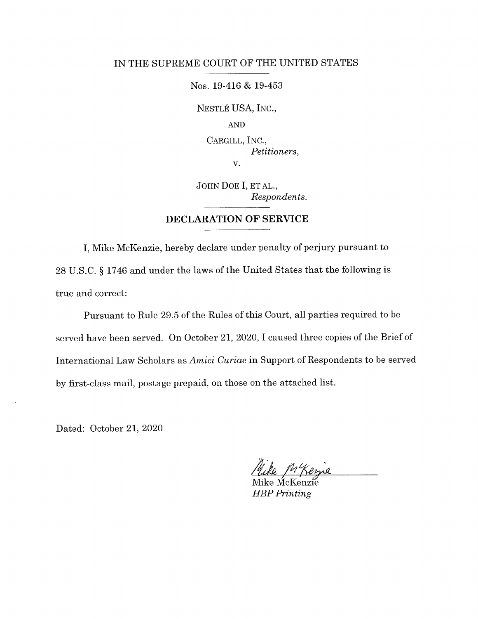## IN THE SUPREME COURT OF THE UNITED STATES

Nos. 19-416 & 19-453

NESTLÉ USA, INC.,

AND

CARGILL, INC., Petitioners, V.

JOHN DOE I, ET AL., Respondents.

## DECLARATION OF SERVICE

I, Mike McKenzie, hereby declare under penalty of perjury pursuant to <sup>28</sup>U.S.C. S 1746 and under the laws of the United States that the following is true and correct

Pursuant to Rule 29.5 of the Rules of this Court, all parties required to be served have been served. On October 21, 2020, I caused three copies of the Brief of International Law Scholars as Amici Curiae in Support of Respondents to be served by first-class mail, postage prepaid, on those on the attached list

Dated: October 21, 2020

'h ph Keyse

Mike McKenzie HBP Printing